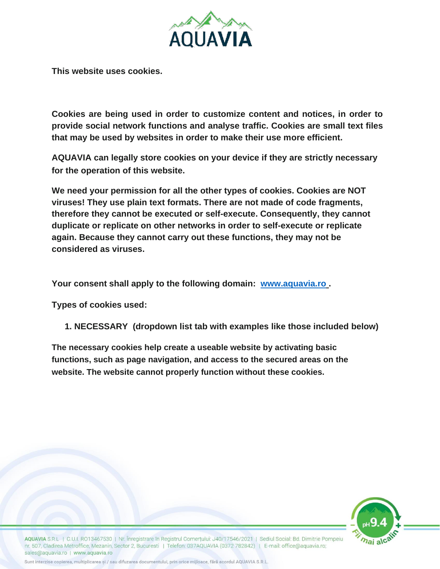

**This website uses cookies.**

**Cookies are being used in order to customize content and notices, in order to provide social network functions and analyse traffic. Cookies are small text files that may be used by websites in order to make their use more efficient.**

**AQUAVIA can legally store cookies on your device if they are strictly necessary for the operation of this website.**

**We need your permission for all the other types of cookies. Cookies are NOT viruses! They use plain text formats. There are not made of code fragments, therefore they cannot be executed or self-execute. Consequently, they cannot duplicate or replicate on other networks in order to self-execute or replicate again. Because they cannot carry out these functions, they may not be considered as viruses.**

**Your consent shall apply to the following domain: [www.aquavia.ro](http://www.aquavia.ro/) .**

**Types of cookies used:**

**1. NECESSARY (dropdown list tab with examples like those included below)**

**The necessary cookies help create a useable website by activating basic functions, such as page navigation, and access to the secured areas on the website. The website cannot properly function without these cookies.**



AQUAVIA S.R.L. | C.U.I. RO13467530 | Nr. Înregistrare în Registrul Comertului: J40/17546/2021 | Sediul Social: Bd. Dimitrie Pompeiu nr. 507, Cladirea Metroffice, Mezanin, Sector 2, Bucuresti | Telefon: 037AQUAVIA (0372 782842) | E-mail: office@aquavia.ro; sales@aquavia.ro | www.aquavia.ro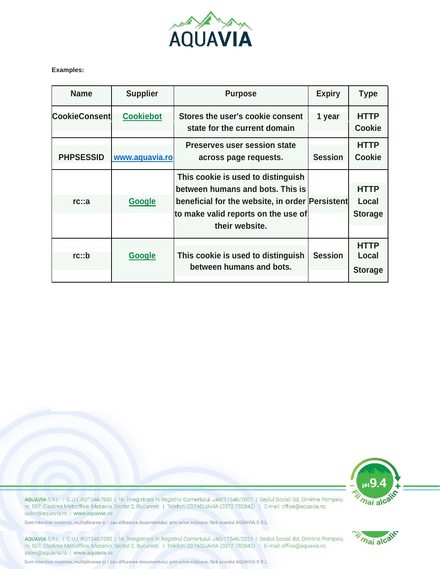

Examples:

| <b>Name</b>          | <b>Supplier</b>  | <b>Purpose</b>                                                                                                                                                                     | <b>Expiry</b>  | <b>Type</b>                            |
|----------------------|------------------|------------------------------------------------------------------------------------------------------------------------------------------------------------------------------------|----------------|----------------------------------------|
| <b>CookieConsent</b> | <b>Cookiebot</b> | Stores the user's cookie consent<br>state for the current domain                                                                                                                   | 1 year         | <b>HTTP</b><br><b>Cookie</b>           |
| <b>PHPSESSID</b>     | www.aquavia.ro   | <b>Preserves user session state</b><br>across page requests.                                                                                                                       | <b>Session</b> | <b>HTTP</b><br><b>Cookie</b>           |
| rc::a                | Google           | This cookie is used to distinguish<br>between humans and bots. This is<br>beneficial for the website, in order Persistent<br>to make valid reports on the use of<br>their website. |                | <b>HTTP</b><br>Local<br><b>Storage</b> |
| rc::b                | <b>Google</b>    | This cookie is used to distinguish<br>between humans and bots.                                                                                                                     | <b>Session</b> | <b>HTTP</b><br>Local<br><b>Storage</b> |



mai alcair

AQUAVIA S.R.L. | C.U.I. RO13467530 | Nr. Înregistrare în Registrul Comerțului: J40/17546/2021 | Sediul Social: Bd. Dimitrie Pompeiu nr. 507, Cladirea Metroffice, Mezanin, Sector 2, Bucuresti | Telefon: 037AQUAVIA (0372 782842) | E-mail: office@aquavia.ro; sales@aquavia.ro | www.aquavia.ro

Sunt interzise copierea, multiplicarea și / sau difuzarea documentului, prin orice mijloace, fără acordul AQUAVIA S.R.L.

AQUAVIA S.R.L. | C.U.I. R013467530 | Nr. Înregistrare în Registrul Comerțului: J40/17546/2021 | Sediul Social: Bd. Dimitrie Pompeiu nr. 507, Cladirea Metroffice, Mezanin, Sector 2, Bucuresti | Telefon: 037AQUAVIA (0372 782842) | E-mail: office@aquavia.ro; sales@aquavia.ro | www.aquavia.ro

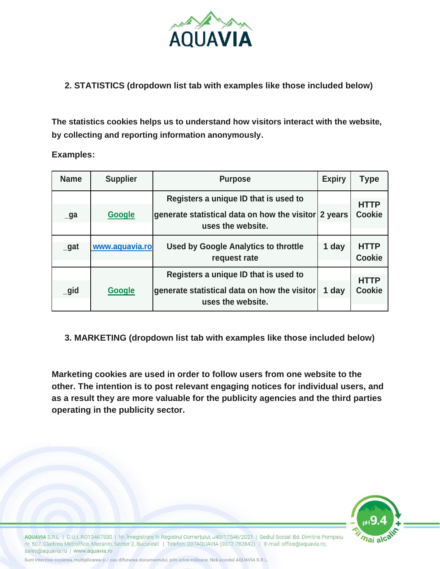

## **2. STATISTICS (dropdown list tab with examples like those included below)**

**The statistics cookies helps us to understand how visitors interact with the website, by collecting and reporting information anonymously.**

**Examples:**

| <b>Name</b> | <b>Supplier</b> | <b>Purpose</b>                                                            | <b>Expiry</b> | <b>Type</b>                  |
|-------------|-----------------|---------------------------------------------------------------------------|---------------|------------------------------|
|             |                 | Registers a unique ID that is used to                                     |               |                              |
| $\Box$ ga   | Google          | generate statistical data on how the visitor 2 years<br>uses the website. |               | <b>HTTP</b><br><b>Cookie</b> |
| $_g$ at     | www.aquavia.ro  | <b>Used by Google Analytics to throttle</b><br>request rate               | 1 day         | <b>HTTP</b><br><b>Cookie</b> |
|             |                 | Registers a unique ID that is used to                                     |               | <b>HTTP</b>                  |
| igid        | Google          | generate statistical data on how the visitor<br>uses the website.         | 1 day         | <b>Cookie</b>                |

**3. MARKETING (dropdown list tab with examples like those included below)**

**Marketing cookies are used in order to follow users from one website to the other. The intention is to post relevant engaging notices for individual users, and as a result they are more valuable for the publicity agencies and the third parties operating in the publicity sector.**



AQUAVIA S.R.L. | C.U.I. R013467530 | Nr. Înregistrare în Registrul Comerțului: J40/17546/2021 | Sediul Social: Bd. Dimitrie Pompeiu nr. 507, Cladirea Metroffice, Mezanin, Sector 2, Bucuresti | Telefon: 037AQUAVIA (0372 782842) | E-mail: office@aquavia.ro; sales@aquavia.ro | www.aquavia.ro